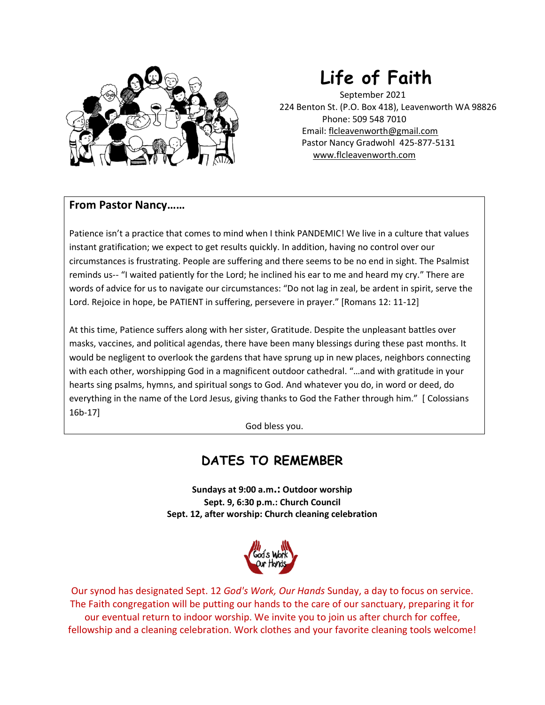

# **Life of Faith**

September 2021 224 Benton St. (P.O. Box 418), Leavenworth WA 98826 Phone: 509 548 7010 Email: flcleavenworth@gmail.com Pastor Nancy Gradwohl 425-877-5131 www.flcleavenworth.com

### **From Pastor Nancy……**

Patience isn't a practice that comes to mind when I think PANDEMIC! We live in a culture that values instant gratification; we expect to get results quickly. In addition, having no control over our circumstances is frustrating. People are suffering and there seems to be no end in sight. The Psalmist reminds us-- "I waited patiently for the Lord; he inclined his ear to me and heard my cry." There are words of advice for us to navigate our circumstances: "Do not lag in zeal, be ardent in spirit, serve the Lord. Rejoice in hope, be PATIENT in suffering, persevere in prayer." [Romans 12: 11-12]

At this time, Patience suffers along with her sister, Gratitude. Despite the unpleasant battles over masks, vaccines, and political agendas, there have been many blessings during these past months. It would be negligent to overlook the gardens that have sprung up in new places, neighbors connecting with each other, worshipping God in a magnificent outdoor cathedral. "…and with gratitude in your hearts sing psalms, hymns, and spiritual songs to God. And whatever you do, in word or deed, do everything in the name of the Lord Jesus, giving thanks to God the Father through him." [ Colossians 16b-17]

God bless you.

## **DATES TO REMEMBER**

**Sundays at 9:00 a.m.: Outdoor worship Sept. 9, 6:30 p.m.: Church Council Sept. 12, after worship: Church cleaning celebration**



Our synod has designated Sept. 12 *God's Work, Our Hands* Sunday, a day to focus on service. The Faith congregation will be putting our hands to the care of our sanctuary, preparing it for our eventual return to indoor worship. We invite you to join us after church for coffee, fellowship and a cleaning celebration. Work clothes and your favorite cleaning tools welcome!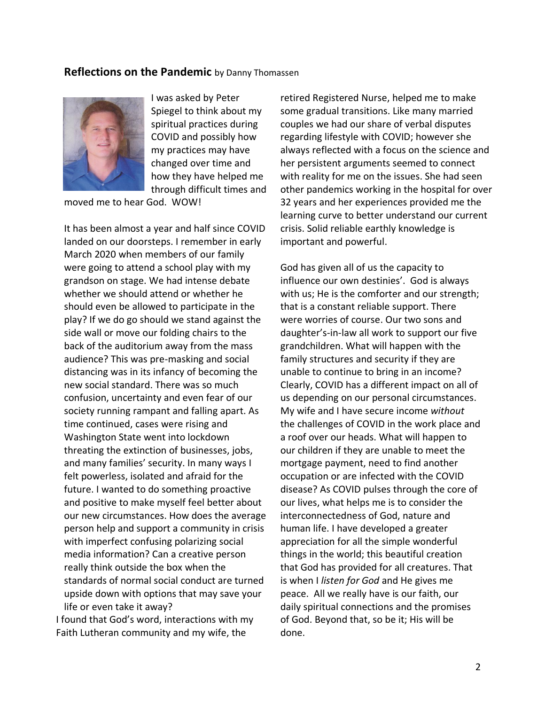#### **Reflections on the Pandemic** by Danny Thomassen



I was asked by Peter Spiegel to think about my spiritual practices during COVID and possibly how my practices may have changed over time and how they have helped me through difficult times and

moved me to hear God. WOW!

It has been almost a year and half since COVID landed on our doorsteps. I remember in early March 2020 when members of our family were going to attend a school play with my grandson on stage. We had intense debate whether we should attend or whether he should even be allowed to participate in the play? If we do go should we stand against the side wall or move our folding chairs to the back of the auditorium away from the mass audience? This was pre-masking and social distancing was in its infancy of becoming the new social standard. There was so much confusion, uncertainty and even fear of our society running rampant and falling apart. As time continued, cases were rising and Washington State went into lockdown threating the extinction of businesses, jobs, and many families' security. In many ways I felt powerless, isolated and afraid for the future. I wanted to do something proactive and positive to make myself feel better about our new circumstances. How does the average person help and support a community in crisis with imperfect confusing polarizing social media information? Can a creative person really think outside the box when the standards of normal social conduct are turned upside down with options that may save your life or even take it away?

I found that God's word, interactions with my Faith Lutheran community and my wife, the

retired Registered Nurse, helped me to make some gradual transitions. Like many married couples we had our share of verbal disputes regarding lifestyle with COVID; however she always reflected with a focus on the science and her persistent arguments seemed to connect with reality for me on the issues. She had seen other pandemics working in the hospital for over 32 years and her experiences provided me the learning curve to better understand our current crisis. Solid reliable earthly knowledge is important and powerful.

God has given all of us the capacity to influence our own destinies'. God is always with us; He is the comforter and our strength; that is a constant reliable support. There were worries of course. Our two sons and daughter's-in-law all work to support our five grandchildren. What will happen with the family structures and security if they are unable to continue to bring in an income? Clearly, COVID has a different impact on all of us depending on our personal circumstances. My wife and I have secure income *without*  the challenges of COVID in the work place and a roof over our heads. What will happen to our children if they are unable to meet the mortgage payment, need to find another occupation or are infected with the COVID disease? As COVID pulses through the core of our lives, what helps me is to consider the interconnectedness of God, nature and human life. I have developed a greater appreciation for all the simple wonderful things in the world; this beautiful creation that God has provided for all creatures. That is when I *listen for God* and He gives me peace. All we really have is our faith, our daily spiritual connections and the promises of God. Beyond that, so be it; His will be done.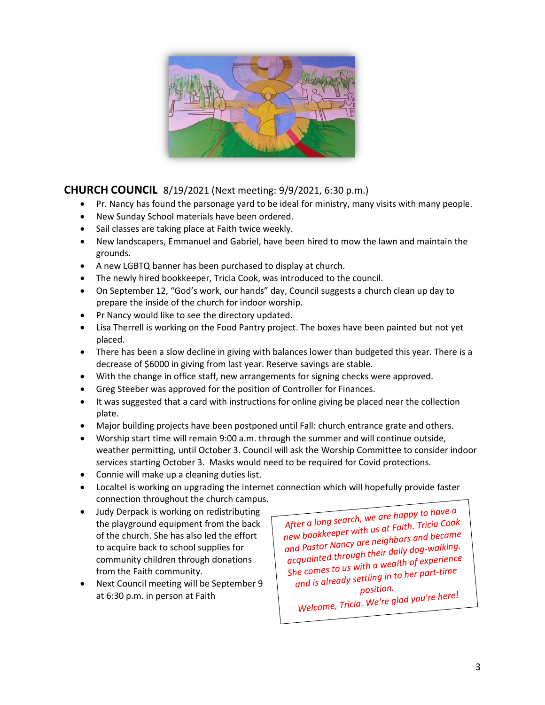

### **CHURCH COUNCIL** 8/19/2021 (Next meeting: 9/9/2021, 6:30 p.m.)

- Pr. Nancy has found the parsonage yard to be ideal for ministry, many visits with many people.
- New Sunday School materials have been ordered.
- Sail classes are taking place at Faith twice weekly.
- New landscapers, Emmanuel and Gabriel, have been hired to mow the lawn and maintain the grounds.
- A new LGBTQ banner has been purchased to display at church.
- The newly hired bookkeeper, Tricia Cook, was introduced to the council.
- On September 12, "God's work, our hands" day, Council suggests a church clean up day to prepare the inside of the church for indoor worship.
- Pr Nancy would like to see the directory updated.
- Lisa Therrell is working on the Food Pantry project. The boxes have been painted but not yet placed.
- There has been a slow decline in giving with balances lower than budgeted this year. There is a decrease of \$6000 in giving from last year. Reserve savings are stable.
- With the change in office staff, new arrangements for signing checks were approved.
- Greg Steeber was approved for the position of Controller for Finances.
- It was suggested that a card with instructions for online giving be placed near the collection plate.
- Major building projects have been postponed until Fall: church entrance grate and others.
- Worship start time will remain 9:00 a.m. through the summer and will continue outside, weather permitting, until October 3. Council will ask the Worship Committee to consider indoor services starting October 3. Masks would need to be required for Covid protections.
- Connie will make up a cleaning duties list.
- Localtel is working on upgrading the internet connection which will hopefully provide faster connection throughout the church campus.
- Judy Derpack is working on redistributing the playground equipment from the back of the church. She has also led the effort to acquire back to school supplies for community children through donations from the Faith community.
- Next Council meeting will be September 9 at 6:30 p.m. in person at Faith

After a long search, we are happy to have a After a long search, we are nuppy to the<br>new bookkeeper with us at Faith. Tricia Cook<br>new bookkeeper with us at Faith. Tricia Cook new bookkeeper with us at runn. ....<br>and Pastor Nancy are neighbors and became<br>and Pastor Lubreugh their daily dog-walking. and Pastor Nancy are neighbors and all pastor Nancy are neighbors and all past and participate.<br>acquainted through their daily dog-walking. acquainted through their adily above.<br>She comes to us with a wealth of experience<br>She comes to us withing in to her part-time the comes to us with a wealth by expressible comes to us with a wealth by expression.<br>and is already settling in to her part-time position.

position.<br>Welcome, Tricia. We're glad you're here!